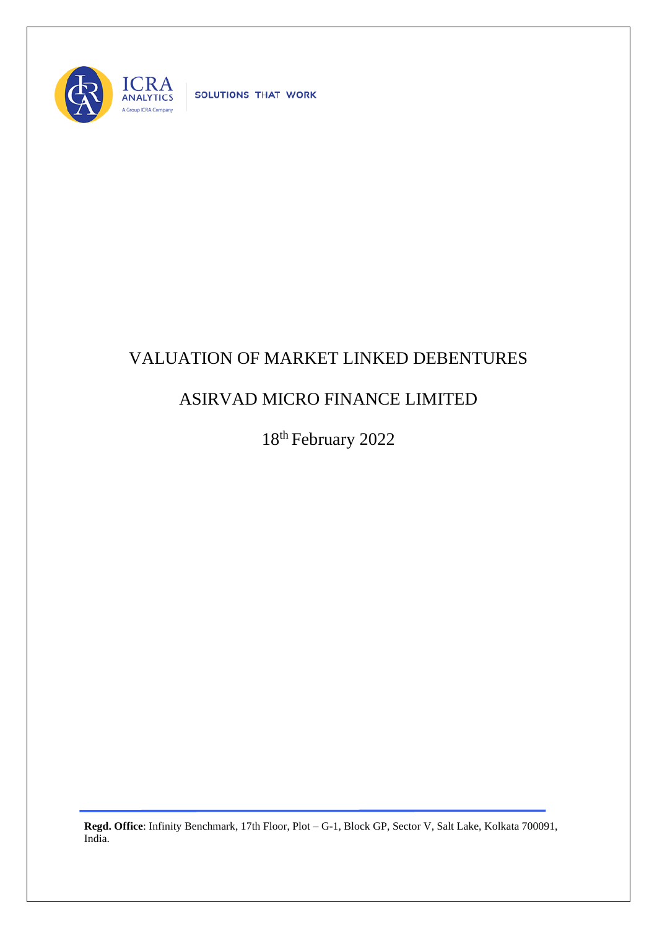

SOLUTIONS THAT WORK

## VALUATION OF MARKET LINKED DEBENTURES

## ASIRVAD MICRO FINANCE LIMITED

18th February 2022

**Regd. Office**: Infinity Benchmark, 17th Floor, Plot – G-1, Block GP, Sector V, Salt Lake, Kolkata 700091, India.